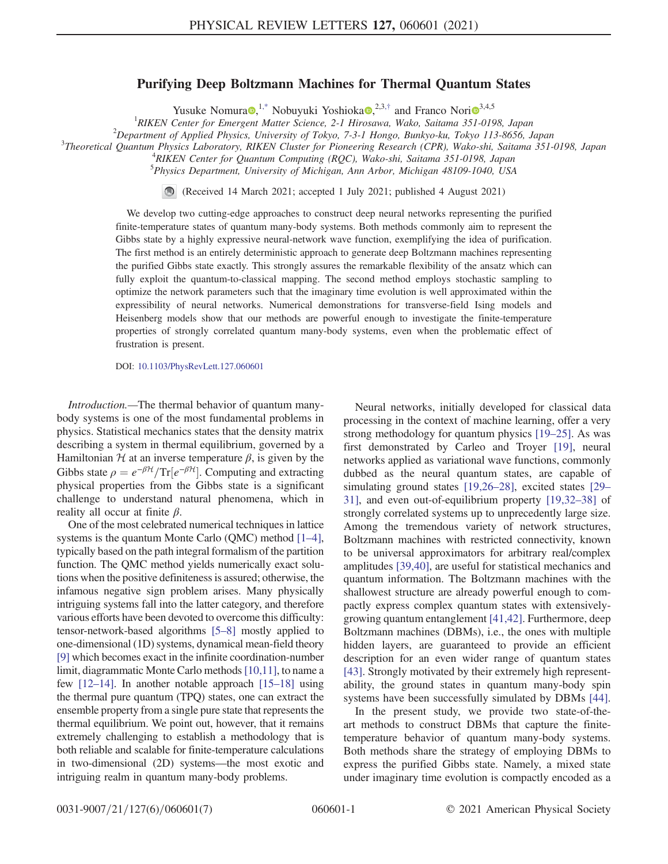## Purifying Deep Boltzmann Machines for Thermal Quantum States

Yusuke Nomura  $\mathbb{R}^{1,*}$  $\mathbb{R}^{1,*}$  $\mathbb{R}^{1,*}$  Nobuyuki Yoshioka  $\mathbb{R}^{2,3,*}$  $\mathbb{R}^{2,3,*}$  $\mathbb{R}^{2,3,*}$  and Franco Nori $\mathbb{R}^{3,4,5}$ 

<sup>1</sup>RIKEN Center for Emergent Matter Science, 2-1 Hirosawa, Wako, Saitama 351-0198, Japan<br><sup>2</sup>Department of Applied Physics, University of Tolyo, 7.3.1 Hongo, Punkyo ky, Tolyo, 113, 8656, 1

 $^{2}$ Department of Applied Physics, University of Tokyo, 7-3-1 Hongo, Bunkyo-ku, Tokyo 113-8656, Japan

<span id="page-0-0"></span>Theoretical Quantum Physics Laboratory, RIKEN Cluster for Pioneering Research (CPR), Wako-shi, Saitama 351-0198, Japan <sup>4</sup>

<sup>4</sup>RIKEN Center for Quantum Computing (RQC), Wako-shi, Saitama 351-0198, Japan <sup>5</sup>Physics Department, University of Michigan, Ann Arbor, Michigan 48109-1040, USA

(Received 14 March 2021; accepted 1 July 2021; published 4 August 2021)

We develop two cutting-edge approaches to construct deep neural networks representing the purified finite-temperature states of quantum many-body systems. Both methods commonly aim to represent the Gibbs state by a highly expressive neural-network wave function, exemplifying the idea of purification. The first method is an entirely deterministic approach to generate deep Boltzmann machines representing the purified Gibbs state exactly. This strongly assures the remarkable flexibility of the ansatz which can fully exploit the quantum-to-classical mapping. The second method employs stochastic sampling to optimize the network parameters such that the imaginary time evolution is well approximated within the expressibility of neural networks. Numerical demonstrations for transverse-field Ising models and Heisenberg models show that our methods are powerful enough to investigate the finite-temperature properties of strongly correlated quantum many-body systems, even when the problematic effect of frustration is present.

DOI: [10.1103/PhysRevLett.127.060601](https://doi.org/10.1103/PhysRevLett.127.060601)

Introduction.—The thermal behavior of quantum manybody systems is one of the most fundamental problems in physics. Statistical mechanics states that the density matrix describing a system in thermal equilibrium, governed by a Hamiltonian  $H$  at an inverse temperature  $\beta$ , is given by the Gibbs state  $\rho = e^{-\beta H}/\text{Tr}[e^{-\beta H}]$ . Computing and extracting physical properties from the Gibbs state is a significant physical properties from the Gibbs state is a significant challenge to understand natural phenomena, which in reality all occur at finite  $\beta$ .

One of the most celebrated numerical techniques in lattice systems is the quantum Monte Carlo (OMC) method [\[1](#page-4-2)–4], typically based on the path integral formalism of the partition function. The QMC method yields numerically exact solutions when the positive definiteness is assured; otherwise, the infamous negative sign problem arises. Many physically intriguing systems fall into the latter category, and therefore various efforts have been devoted to overcome this difficulty: tensor-network-based algorithms [\[5](#page-4-3)–8] mostly applied to one-dimensional (1D) systems, dynamical mean-field theory [\[9\]](#page-4-4) which becomes exact in the infinite coordination-number limit, diagrammatic Monte Carlo methods[\[10,11\],](#page-4-5) to name a few [\[12](#page-4-6)–14]. In another notable approach [\[15](#page-5-0)–18] using the thermal pure quantum (TPQ) states, one can extract the ensemble property from a single pure state that represents the thermal equilibrium. We point out, however, that it remains extremely challenging to establish a methodology that is both reliable and scalable for finite-temperature calculations in two-dimensional (2D) systems—the most exotic and intriguing realm in quantum many-body problems.

Neural networks, initially developed for classical data processing in the context of machine learning, offer a very strong methodology for quantum physics [19–[25\].](#page-5-1) As was first demonstrated by Carleo and Troyer [\[19\],](#page-5-1) neural networks applied as variational wave functions, commonly dubbed as the neural quantum states, are capable of simulating ground states [\[19,26](#page-5-1)–28], excited states [\[29](#page-5-2)– [31\],](#page-5-2) and even out-of-equilibrium property [\[19,32](#page-5-1)–38] of strongly correlated systems up to unprecedently large size. Among the tremendous variety of network structures, Boltzmann machines with restricted connectivity, known to be universal approximators for arbitrary real/complex amplitudes [\[39,40\],](#page-5-3) are useful for statistical mechanics and quantum information. The Boltzmann machines with the shallowest structure are already powerful enough to compactly express complex quantum states with extensivelygrowing quantum entanglement [\[41,42\].](#page-5-4) Furthermore, deep Boltzmann machines (DBMs), i.e., the ones with multiple hidden layers, are guaranteed to provide an efficient description for an even wider range of quantum states [\[43\]](#page-5-5). Strongly motivated by their extremely high representability, the ground states in quantum many-body spin systems have been successfully simulated by DBMs [\[44\]](#page-5-6).

In the present study, we provide two state-of-theart methods to construct DBMs that capture the finitetemperature behavior of quantum many-body systems. Both methods share the strategy of employing DBMs to express the purified Gibbs state. Namely, a mixed state under imaginary time evolution is compactly encoded as a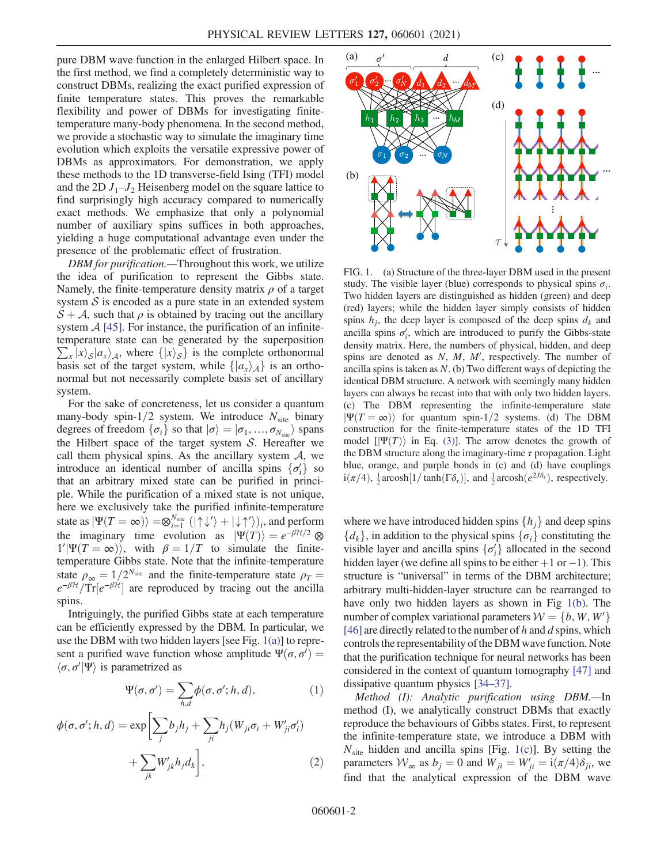pure DBM wave function in the enlarged Hilbert space. In the first method, we find a completely deterministic way to construct DBMs, realizing the exact purified expression of finite temperature states. This proves the remarkable flexibility and power of DBMs for investigating finitetemperature many-body phenomena. In the second method, we provide a stochastic way to simulate the imaginary time evolution which exploits the versatile expressive power of DBMs as approximators. For demonstration, we apply these methods to the 1D transverse-field Ising (TFI) model and the 2D  $J_1-J_2$  Heisenberg model on the square lattice to find surprisingly high accuracy compared to numerically exact methods. We emphasize that only a polynomial number of auxiliary spins suffices in both approaches, yielding a huge computational advantage even under the presence of the problematic effect of frustration.

DBM for purification.—Throughout this work, we utilize the idea of purification to represent the Gibbs state. Namely, the finite-temperature density matrix  $\rho$  of a target system  $S$  is encoded as a pure state in an extended system  $S + A$ , such that  $\rho$  is obtained by tracing out the ancillary system  $\mathcal{A}$  [\[45\].](#page-5-7) For instance, the purification of an infinitetemperature state can be generated by the superposition  $\sum_{x} |x\rangle_{\mathcal{S}} |a_{x}\rangle_{\mathcal{A}}$ , where  $\{|x\rangle_{\mathcal{S}}\}$  is the complete orthonormal basis set of the target system, while  $\{|a_{x}\rangle_{A}\}$  is an orthonormal but not necessarily complete basis set of ancillary system.

For the sake of concreteness, let us consider a quantum many-body spin-1/2 system. We introduce  $N_{\text{site}}$  binary degrees of freedom  $\{\sigma_i\}$  so that  $|\sigma\rangle = |\sigma_1, ..., \sigma_{N_{\text{site}}}\rangle$  spans the Hilbert space of the target system  $S$ . Hereafter we call them physical spins. As the ancillary system  $A$ , we introduce an identical number of ancilla spins  $\{\sigma_i'\}$  so<br>that an arbitrary mixed state can be purified in princithat an arbitrary mixed state can be purified in principle. While the purification of a mixed state is not unique, here we exclusively take the purified infinite-temperature state as  $|\Psi(T = \infty)\rangle = \otimes_{i=1}^{N_{\text{site}}} (|\uparrow\downarrow'\rangle + |\downarrow\uparrow'\rangle)_i$ , and perform the imaginary time evolution as  $|\Psi(T)\rangle = e^{-\beta H/2} \otimes$  $\mathbb{1}'|\Psi(T=\infty)$ , with  $\beta=1/T$  to simulate the finite-<br>temperature Gibbs state. Note that the infinite-temperature temperature Gibbs state. Note that the infinite-temperature state  $\rho_{\infty} = 1/2^{N_{\text{site}}}$  and the finite-temperature state  $\rho_T = e^{-\beta H}/\text{Tr}[e^{-\beta H}]$  are reproduced by tracing out the ancilla  $e^{-\beta H}/\text{Tr}[e^{-\beta H}]$  are reproduced by tracing out the ancilla spins.

<span id="page-1-1"></span>Intriguingly, the purified Gibbs state at each temperature can be efficiently expressed by the DBM. In particular, we use the DBM with two hidden layers [see Fig.  $1(a)$ ] to represent a purified wave function whose amplitude  $\Psi(\sigma, \sigma') = \langle \sigma, \sigma' | \Psi \rangle$  is parametrized as  $\langle \sigma, \sigma' | \Psi \rangle$  is parametrized as

$$
\Psi(\sigma,\sigma') = \sum_{h,d} \phi(\sigma,\sigma';h,d),\tag{1}
$$

$$
\phi(\sigma, \sigma'; h, d) = \exp\left[\sum_j b_j h_j + \sum_{ji} h_j (W_{ji}\sigma_i + W'_{ji}\sigma'_i) + \sum_{jk} W'_{jk} h_j d_k\right],
$$
\n(2)

<span id="page-1-0"></span>

FIG. 1. (a) Structure of the three-layer DBM used in the present study. The visible layer (blue) corresponds to physical spins  $\sigma_i$ . Two hidden layers are distinguished as hidden (green) and deep (red) layers; while the hidden layer simply consists of hidden spins  $h_i$ , the deep layer is composed of the deep spins  $d_k$  and ancilla spins  $\sigma'_{i}$ , which are introduced to purify the Gibbs-state density matrix. Here, the numbers of physical, hidden, and deep spins are denoted as  $N$ ,  $M$ ,  $M'$ , respectively. The number of ancilla spins is taken as  $N$ . (b) Two different ways of depicting the identical DBM structure. A network with seemingly many hidden layers can always be recast into that with only two hidden layers. (c) The DBM representing the infinite-temperature state  $|\Psi(T=\infty)\rangle$  for quantum spin-1/2 systems. (d) The DBM construction for the finite-temperature states of the 1D TFI model  $[\Psi(T)]$  in Eq. [\(3\)](#page-2-0)]. The arrow denotes the growth of the DBM structure along the imaginary-time  $\tau$  propagation. Light blue, orange, and purple bonds in (c) and (d) have couplings  $i(\pi/4)$ ,  $\frac{1}{2}$  arcosh $[1/\tanh(\Gamma\delta_{\tau})]$ , and  $\frac{1}{2}$  arcosh $(e^{2J\delta_{\tau}})$ , respectively.

where we have introduced hidden spins  $\{h_i\}$  and deep spins  $\{d_k\}$ , in addition to the physical spins  $\{\sigma_i\}$  constituting the visible layer and ancilla spins  $\{\sigma'_i\}$  allocated in the second<br>hidden layer (we define all spins to be either  $\pm 1$  or  $\pm 1$ ). This hidden layer (we define all spins to be either  $+1$  or  $-1$ ). This structure is "universal" in terms of the DBM architecture; arbitrary multi-hidden-layer structure can be rearranged to have only two hidden layers as shown in Fig [1\(b\).](#page-1-0) The number of complex variational parameters  $W = \{b, W, W'\}$ [\[46\]](#page-5-8) are directly related to the number of h and d spins, which controls the representability of the DBM wave function. Note that the purification technique for neural networks has been considered in the context of quantum tomography [\[47\]](#page-5-9) and dissipative quantum physics [34–[37\]](#page-5-10).

Method (I): Analytic purification using DBM.—In method (I), we analytically construct DBMs that exactly reproduce the behaviours of Gibbs states. First, to represent the infinite-temperature state, we introduce a DBM with  $N<sub>site</sub>$  hidden and ancilla spins [Fig. [1\(c\)](#page-1-0)]. By setting the parameters  $W_{\infty}$  as  $b_j = 0$  and  $W_{ji} = W'_{ji} = i(\pi/4)\delta_{ji}$ , we find that the analytical expression of the DBM wave find that the analytical expression of the DBM wave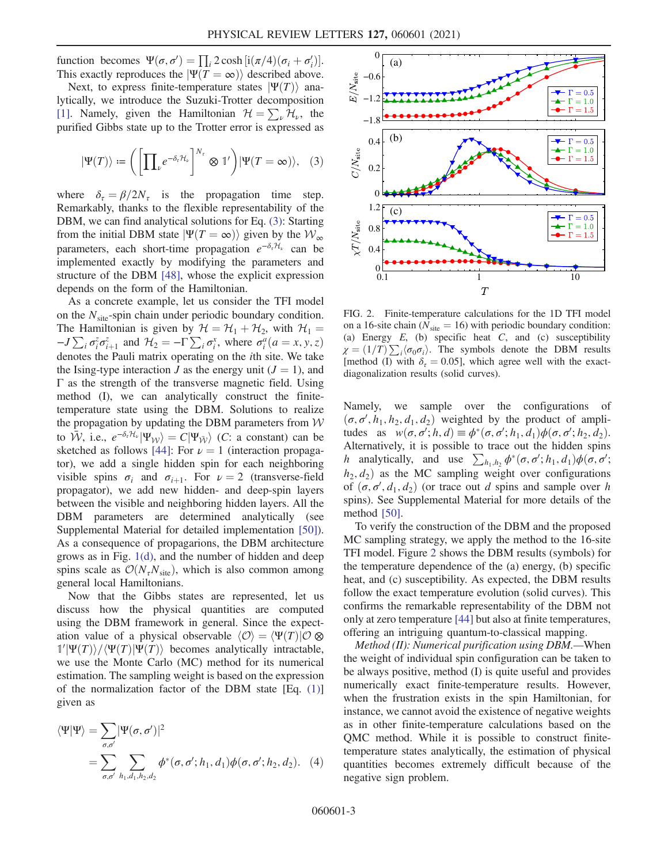function becomes  $\Psi(\sigma, \sigma') = \prod_i 2 \cosh [i(\pi/4)(\sigma_i + \sigma'_i)].$ <br>This exactly reproduces the  $|\Psi(T - \infty)\rangle$  described above Tunction becomes  $\mathbf{\Psi}(\sigma, \sigma) = \prod_i 2 \cosh \frac{[\mathbf{\Pi}(\pi/4)(\sigma_i + \sigma_i)]}{\mathrm{Rest}}$ .<br>This exactly reproduces the  $|\Psi(T = \infty)\rangle$  described above.

<span id="page-2-0"></span>Next, to express finite-temperature states  $|\Psi(T)\rangle$  analytically, we introduce the Suzuki-Trotter decomposition [\[1\]](#page-4-2). Namely, given the Hamiltonian  $\mathcal{H} = \sum_{\nu} \mathcal{H}_{\nu}$ , the purified Gibbs state up to the Trotter error is expressed as

$$
|\Psi(T)\rangle \coloneqq \left(\left[\prod_{\nu} e^{-\delta_{\tau}\mathcal{H}_{\nu}}\right]^{N_{\tau}} \otimes 1'\right)|\Psi(T=\infty)\rangle, \quad (3)
$$

where  $\delta_{\tau} = \beta/2N_{\tau}$  is the propagation time step. Remarkably, thanks to the flexible representability of the DBM, we can find analytical solutions for Eq. [\(3\):](#page-2-0) Starting from the initial DBM state  $|\Psi(T = \infty)\rangle$  given by the  $W_{\infty}$ parameters, each short-time propagation  $e^{-\delta_{\tau}H_{\nu}}$  can be implemented exactly by modifying the parameters and structure of the DBM [\[48\]](#page-5-11), whose the explicit expression depends on the form of the Hamiltonian.

As a concrete example, let us consider the TFI model on the  $N<sub>site</sub>$ -spin chain under periodic boundary condition. The Hamiltonian is given by  $\mathcal{H} = \mathcal{H}_1 + \mathcal{H}_2$ , with  $\mathcal{H}_1 =$  $-J\sum_i \sigma_i^z \sigma_{i+1}^z$  and  $\mathcal{H}_2 = -\Gamma \sum_i \sigma_i^x$ , where  $\sigma_i^a (a = x, y, z)$ denotes the Pauli matrix operating on the ith site. We take the Ising-type interaction J as the energy unit  $(J = 1)$ , and  $\Gamma$  as the strength of the transverse magnetic field. Using method (I), we can analytically construct the finitetemperature state using the DBM. Solutions to realize the propagation by updating the DBM parameters from  $W$ to  $\bar{W}$ , i.e.,  $e^{-\delta_{\tau}H_{\nu}}|\Psi_{W}\rangle = C|\Psi_{\bar{W}}\rangle$  (*C*: a constant) can be sketched as follows [\[44\]](#page-5-6): For  $\nu = 1$  (interaction propagator), we add a single hidden spin for each neighboring visible spins  $\sigma_i$  and  $\sigma_{i+1}$ . For  $\nu = 2$  (transverse-field propagator), we add new hidden- and deep-spin layers between the visible and neighboring hidden layers. All the DBM parameters are determined analytically (see Supplemental Material for detailed implementation [\[50\]](#page-5-12)). As a consequence of propagarions, the DBM architecture grows as in Fig. [1\(d\),](#page-1-0) and the number of hidden and deep spins scale as  $\mathcal{O}(N_{\tau}N_{\text{site}})$ , which is also common among general local Hamiltonians.

Now that the Gibbs states are represented, let us discuss how the physical quantities are computed using the DBM framework in general. Since the expectation value of a physical observable  $\langle \mathcal{O} \rangle = \langle \Psi(T) | \mathcal{O} \otimes \mathcal{O} \rangle$  $\frac{1}{\Psi(T)}\sqrt{\Psi(T)}\Psi(T)$  becomes analytically intractable,<br>we use the Monte Carlo (MC) method for its numerical we use the Monte Carlo (MC) method for its numerical estimation. The sampling weight is based on the expression of the normalization factor of the DBM state [Eq. [\(1\)\]](#page-1-1) given as

$$
\langle \Psi | \Psi \rangle = \sum_{\sigma, \sigma'} |\Psi(\sigma, \sigma')|^2
$$
  
= 
$$
\sum_{\sigma, \sigma'} \sum_{h_1, d_1, h_2, d_2} \phi^*(\sigma, \sigma'; h_1, d_1) \phi(\sigma, \sigma'; h_2, d_2).
$$
 (4)

<span id="page-2-1"></span>

FIG. 2. Finite-temperature calculations for the 1D TFI model on a 16-site chain ( $N_{\text{site}} = 16$ ) with periodic boundary condition: (a) Energy  $E$ , (b) specific heat  $C$ , and (c) susceptibility  $\chi = (1/T) \sum_i \langle \sigma_0 \sigma_i \rangle$ . The symbols denote the DBM results Imethod (I) with  $\delta = 0.051$  which agree well with the exact-[method (I) with  $\delta_{\tau} = 0.05$ ], which agree well with the exactdiagonalization results (solid curves).

Namely, we sample over the configurations of  $(\sigma, \sigma', h_1, h_2, d_1, d_2)$  weighted by the product of ampli-<br>tudes as  $w(\sigma, \sigma', h, d) = \phi^*(\sigma, \sigma', h, d_1) \phi(\sigma, \sigma', h, d_2)$ tudes as  $w(\sigma, \sigma'; h, d) \equiv \phi^*(\sigma, \sigma'; h_1, d_1) \phi(\sigma, \sigma'; h_2, d_2)$ .<br>Alternatively it is possible to trace out the hidden spins Alternatively, it is possible to trace out the hidden spins h analytically, and use  $\sum_{h_1, h_2} \phi^*(\sigma, \sigma'; h_1, d_1) \phi(\sigma, \sigma'; h_2, d_1)$  as the MG sempling weight over configurations  $h_2, d_2$  as the MC sampling weight over configurations of  $(\sigma, \sigma', d_1, d_2)$  (or trace out d spins and sample over h<br>spins). See Supplemental Material for more details of the spins). See Supplemental Material for more details of the method [\[50\]](#page-5-12).

To verify the construction of the DBM and the proposed MC sampling strategy, we apply the method to the 16-site TFI model. Figure [2](#page-2-1) shows the DBM results (symbols) for the temperature dependence of the (a) energy, (b) specific heat, and (c) susceptibility. As expected, the DBM results follow the exact temperature evolution (solid curves). This confirms the remarkable representability of the DBM not only at zero temperature [\[44\]](#page-5-6) but also at finite temperatures, offering an intriguing quantum-to-classical mapping.

Method (II): Numerical purification using DBM.—When the weight of individual spin configuration can be taken to be always positive, method (I) is quite useful and provides numerically exact finite-temperature results. However, when the frustration exists in the spin Hamiltonian, for instance, we cannot avoid the existence of negative weights as in other finite-temperature calculations based on the QMC method. While it is possible to construct finitetemperature states analytically, the estimation of physical quantities becomes extremely difficult because of the negative sign problem.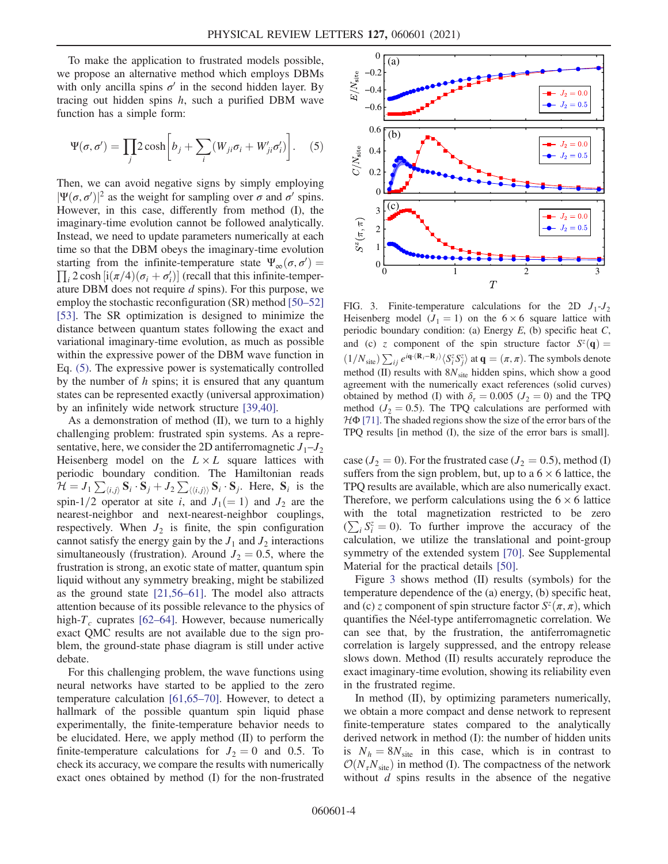To make the application to frustrated models possible, we propose an alternative method which employs DBMs with only ancilla spins  $\sigma'$  in the second hidden layer. By tracing out hidden spins  $h$ , such a purified DBM wave function has a simple form:

<span id="page-3-0"></span>
$$
\Psi(\sigma, \sigma') = \prod_j 2 \cosh \left[ b_j + \sum_i (W_{ji} \sigma_i + W'_{ji} \sigma'_i) \right].
$$
 (5)

Then, we can avoid negative signs by simply employing  $|\Psi(\sigma, \sigma')|^2$  as the weight for sampling over  $\sigma$  and  $\sigma'$  spins.<br>However in this case, differently from method (I) the However, in this case, differently from method (I), the imaginary-time evolution cannot be followed analytically. Instead, we need to update parameters numerically at each time so that the DBM obeys the imaginary-time evolution starting from the infinite-temperature state  $\Psi_{\infty}(\sigma, \sigma') =$  $\prod_i 2 \cosh [i(\pi/4)(\sigma_i + \sigma'_i)]$  (recall that this infinite-temper-<br>ature DBM does not require *d* spins). For this purpose, we  $\prod_i 2 \cosh \left( \frac{\pi}{4} \right) (\sigma_i + \sigma_i)$  (recall that this infinite-temperature DBM does not require d spins). For this purpose, we employ the stochastic reconfiguration (SR) method [\[50](#page-5-12)–52] [\[53\]](#page-6-0). The SR optimization is designed to minimize the distance between quantum states following the exact and variational imaginary-time evolution, as much as possible within the expressive power of the DBM wave function in Eq. [\(5\).](#page-3-0) The expressive power is systematically controlled by the number of  $h$  spins; it is ensured that any quantum states can be represented exactly (universal approximation) by an infinitely wide network structure [\[39,40\].](#page-5-3)

As a demonstration of method (II), we turn to a highly challenging problem: frustrated spin systems. As a representative, here, we consider the 2D antiferromagnetic  $J_1-J_2$ Heisenberg model on the  $L \times L$  square lattices with periodic boundary condition. The Hamiltonian reads  $\hat{H} = J_1 \sum_{\langle i,j \rangle} \mathbf{S}_i \cdot \mathbf{S}_j + J_2 \sum_{\langle \langle i,j \rangle \rangle} \mathbf{S}_i \cdot \mathbf{S}_j$ . Here,  $\mathbf{S}_i$  is the spin-1/2 operator at site i, and  $J_1(=1)$  and  $J_2$  are the nearest-neighbor and next-nearest-neighbor couplings, respectively. When  $J_2$  is finite, the spin configuration cannot satisfy the energy gain by the  $J_1$  and  $J_2$  interactions simultaneously (frustration). Around  $J_2 = 0.5$ , where the frustration is strong, an exotic state of matter, quantum spin liquid without any symmetry breaking, might be stabilized as the ground state [\[21,56](#page-5-13)–61]. The model also attracts attention because of its possible relevance to the physics of high- $T_c$  cuprates [\[62](#page-6-1)–64]. However, because numerically exact QMC results are not available due to the sign problem, the ground-state phase diagram is still under active debate.

For this challenging problem, the wave functions using neural networks have started to be applied to the zero temperature calculation [\[61,65](#page-6-2)–70]. However, to detect a hallmark of the possible quantum spin liquid phase experimentally, the finite-temperature behavior needs to be elucidated. Here, we apply method (II) to perform the finite-temperature calculations for  $J_2 = 0$  and 0.5. To check its accuracy, we compare the results with numerically exact ones obtained by method (I) for the non-frustrated

<span id="page-3-1"></span>

FIG. 3. Finite-temperature calculations for the 2D  $J_1-J_2$ Heisenberg model  $(J_1 = 1)$  on the 6 × 6 square lattice with periodic boundary condition: (a) Energy  $E$ , (b) specific heat  $C$ , and (c) z component of the spin structure factor  $S^{z}(q)$  =  $(1/N_{\text{site}}) \sum_{ij} e^{i\mathbf{q} \cdot (\mathbf{R}_i - \mathbf{R}_j)} \langle S_i^z S_j^z \rangle$  at  $\mathbf{q} = (\pi, \pi)$ . The symbols denote method (II) results with  $8N_{site}$  hidden spins, which show a good agreement with the numerically exact references (solid curves) obtained by method (I) with  $\delta_{\tau} = 0.005$  ( $J_2 = 0$ ) and the TPQ method ( $J_2 = 0.5$ ). The TPQ calculations are performed with  $H\Phi$  [\[71\].](#page-6-4) The shaded regions show the size of the error bars of the TPQ results [in method (I), the size of the error bars is small].

case ( $J_2 = 0$ ). For the frustrated case ( $J_2 = 0.5$ ), method (I) suffers from the sign problem, but, up to a  $6 \times 6$  lattice, the TPQ results are available, which are also numerically exact. Therefore, we perform calculations using the  $6 \times 6$  lattice with the total magnetization restricted to be zero  $(\sum_i S_i^z = 0)$ . To further improve the accuracy of the calculation we utilize the translational and point-group calculation, we utilize the translational and point-group symmetry of the extended system [\[70\]](#page-6-3). See Supplemental Material for the practical details [\[50\].](#page-5-12)

Figure [3](#page-3-1) shows method (II) results (symbols) for the temperature dependence of the (a) energy, (b) specific heat, and (c) z component of spin structure factor  $S^z(\pi, \pi)$ , which quantifies the Néel-type antiferromagnetic correlation. We can see that, by the frustration, the antiferromagnetic correlation is largely suppressed, and the entropy release slows down. Method (II) results accurately reproduce the exact imaginary-time evolution, showing its reliability even in the frustrated regime.

In method (II), by optimizing parameters numerically, we obtain a more compact and dense network to represent finite-temperature states compared to the analytically derived network in method (I): the number of hidden units is  $N_h = 8N_{\text{site}}$  in this case, which is in contrast to  $\mathcal{O}(N_{\tau}N_{\text{site}})$  in method (I). The compactness of the network without  $d$  spins results in the absence of the negative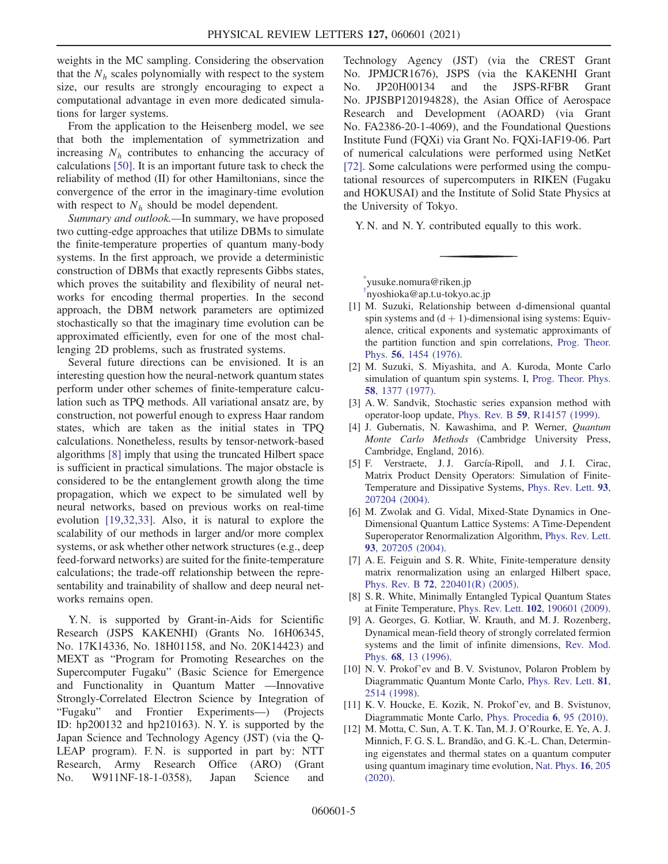weights in the MC sampling. Considering the observation that the  $N_h$  scales polynomially with respect to the system size, our results are strongly encouraging to expect a computational advantage in even more dedicated simulations for larger systems.

From the application to the Heisenberg model, we see that both the implementation of symmetrization and increasing  $N<sub>h</sub>$  contributes to enhancing the accuracy of calculations [\[50\]](#page-5-12). It is an important future task to check the reliability of method (II) for other Hamiltonians, since the convergence of the error in the imaginary-time evolution with respect to  $N<sub>h</sub>$  should be model dependent.

Summary and outlook.—In summary, we have proposed two cutting-edge approaches that utilize DBMs to simulate the finite-temperature properties of quantum many-body systems. In the first approach, we provide a deterministic construction of DBMs that exactly represents Gibbs states, which proves the suitability and flexibility of neural networks for encoding thermal properties. In the second approach, the DBM network parameters are optimized stochastically so that the imaginary time evolution can be approximated efficiently, even for one of the most challenging 2D problems, such as frustrated systems.

Several future directions can be envisioned. It is an interesting question how the neural-network quantum states perform under other schemes of finite-temperature calculation such as TPQ methods. All variational ansatz are, by construction, not powerful enough to express Haar random states, which are taken as the initial states in TPQ calculations. Nonetheless, results by tensor-network-based algorithms [\[8\]](#page-4-7) imply that using the truncated Hilbert space is sufficient in practical simulations. The major obstacle is considered to be the entanglement growth along the time propagation, which we expect to be simulated well by neural networks, based on previous works on real-time evolution [\[19,32,33\]](#page-5-1). Also, it is natural to explore the scalability of our methods in larger and/or more complex systems, or ask whether other network structures (e.g., deep feed-forward networks) are suited for the finite-temperature calculations; the trade-off relationship between the representability and trainability of shallow and deep neural networks remains open.

Y. N. is supported by Grant-in-Aids for Scientific Research (JSPS KAKENHI) (Grants No. 16H06345, No. 17K14336, No. 18H01158, and No. 20K14423) and MEXT as "Program for Promoting Researches on the Supercomputer Fugaku" (Basic Science for Emergence and Functionality in Quantum Matter —Innovative Strongly-Correlated Electron Science by Integration of "Fugaku" and Frontier Experiments—) (Projects ID: hp200132 and hp210163). N. Y. is supported by the Japan Science and Technology Agency (JST) (via the Q-LEAP program). F.N. is supported in part by: NTT Research, Army Research Office (ARO) (Grant No. W911NF-18-1-0358), Japan Science and Technology Agency (JST) (via the CREST Grant No. JPMJCR1676), JSPS (via the KAKENHI Grant No. JP20H00134 and the JSPS-RFBR Grant No. JPJSBP120194828), the Asian Office of Aerospace Research and Development (AOARD) (via Grant No. FA2386-20-1-4069), and the Foundational Questions Institute Fund (FQXi) via Grant No. FQXi-IAF19-06. Part of numerical calculations were performed using NetKet [\[72\]](#page-6-5). Some calculations were performed using the computational resources of supercomputers in RIKEN (Fugaku and HOKUSAI) and the Institute of Solid State Physics at the University of Tokyo.

Y. N. and N. Y. contributed equally to this work.

<span id="page-4-1"></span><span id="page-4-0"></span>[\\*](#page-0-0) yusuke.nomura@riken.jp

[†](#page-0-0) nyoshioka@ap.t.u-tokyo.ac.jp

- <span id="page-4-2"></span>[1] M. Suzuki, Relationship between d-dimensional quantal spin systems and  $(d + 1)$ -dimensional ising systems: Equivalence, critical exponents and systematic approximants of the partition function and spin correlations, [Prog. Theor.](https://doi.org/10.1143/PTP.56.1454) Phys. 56[, 1454 \(1976\).](https://doi.org/10.1143/PTP.56.1454)
- [2] M. Suzuki, S. Miyashita, and A. Kuroda, Monte Carlo simulation of quantum spin systems. I, [Prog. Theor. Phys.](https://doi.org/10.1143/PTP.58.1377) 58[, 1377 \(1977\)](https://doi.org/10.1143/PTP.58.1377).
- [3] A. W. Sandvik, Stochastic series expansion method with operator-loop update, Phys. Rev. B 59[, R14157 \(1999\).](https://doi.org/10.1103/PhysRevB.59.R14157)
- <span id="page-4-3"></span>[4] J. Gubernatis, N. Kawashima, and P. Werner, Quantum Monte Carlo Methods (Cambridge University Press, Cambridge, England, 2016).
- [5] F. Verstraete, J. J. García-Ripoll, and J. I. Cirac, Matrix Product Density Operators: Simulation of Finite-Temperature and Dissipative Systems, [Phys. Rev. Lett.](https://doi.org/10.1103/PhysRevLett.93.207204) 93, [207204 \(2004\).](https://doi.org/10.1103/PhysRevLett.93.207204)
- [6] M. Zwolak and G. Vidal, Mixed-State Dynamics in One-Dimensional Quantum Lattice Systems: A Time-Dependent Superoperator Renormalization Algorithm, [Phys. Rev. Lett.](https://doi.org/10.1103/PhysRevLett.93.207205) 93[, 207205 \(2004\).](https://doi.org/10.1103/PhysRevLett.93.207205)
- <span id="page-4-7"></span>[7] A. E. Feiguin and S. R. White, Finite-temperature density matrix renormalization using an enlarged Hilbert space, Phys. Rev. B 72[, 220401\(R\) \(2005\)](https://doi.org/10.1103/PhysRevB.72.220401).
- <span id="page-4-4"></span>[8] S. R. White, Minimally Entangled Typical Quantum States at Finite Temperature, Phys. Rev. Lett. 102[, 190601 \(2009\).](https://doi.org/10.1103/PhysRevLett.102.190601)
- [9] A. Georges, G. Kotliar, W. Krauth, and M. J. Rozenberg, Dynamical mean-field theory of strongly correlated fermion systems and the limit of infinite dimensions, [Rev. Mod.](https://doi.org/10.1103/RevModPhys.68.13) Phys. 68[, 13 \(1996\)](https://doi.org/10.1103/RevModPhys.68.13).
- <span id="page-4-5"></span>[10] N. V. Prokof'ev and B. V. Svistunov, Polaron Problem by Diagrammatic Quantum Monte Carlo, [Phys. Rev. Lett.](https://doi.org/10.1103/PhysRevLett.81.2514) 81, [2514 \(1998\)](https://doi.org/10.1103/PhysRevLett.81.2514).
- <span id="page-4-6"></span>[11] K. V. Houcke, E. Kozik, N. Prokof'ev, and B. Svistunov, Diagrammatic Monte Carlo, [Phys. Procedia](https://doi.org/10.1016/j.phpro.2010.09.034) 6, 95 (2010).
- [12] M. Motta, C. Sun, A. T. K. Tan, M. J. O'Rourke, E. Ye, A. J. Minnich, F. G. S. L. Brandão, and G. K.-L. Chan, Determining eigenstates and thermal states on a quantum computer using quantum imaginary time evolution, [Nat. Phys.](https://doi.org/10.1038/s41567-019-0704-4) 16, 205 [\(2020\).](https://doi.org/10.1038/s41567-019-0704-4)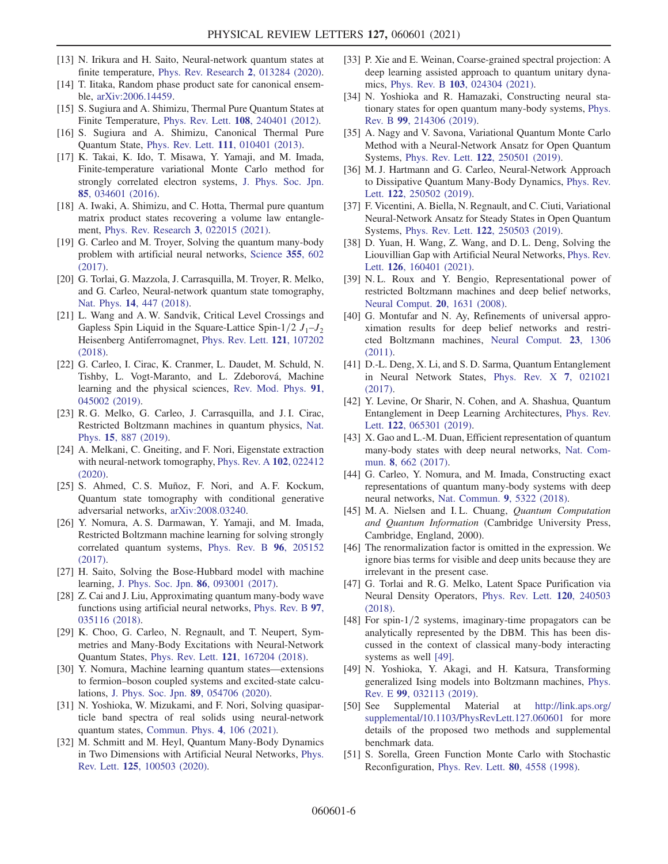- [13] N. Irikura and H. Saito, Neural-network quantum states at finite temperature, [Phys. Rev. Research](https://doi.org/10.1103/PhysRevResearch.2.013284) 2, 013284 (2020).
- [14] T. Iitaka, Random phase product sate for canonical ensemble, [arXiv:2006.14459.](https://arXiv.org/abs/2006.14459)
- <span id="page-5-0"></span>[15] S. Sugiura and A. Shimizu, Thermal Pure Quantum States at Finite Temperature, Phys. Rev. Lett. 108[, 240401 \(2012\)](https://doi.org/10.1103/PhysRevLett.108.240401).
- [16] S. Sugiura and A. Shimizu, Canonical Thermal Pure Quantum State, Phys. Rev. Lett. 111[, 010401 \(2013\).](https://doi.org/10.1103/PhysRevLett.111.010401)
- [17] K. Takai, K. Ido, T. Misawa, Y. Yamaji, and M. Imada, Finite-temperature variational Monte Carlo method for strongly correlated electron systems, [J. Phys. Soc. Jpn.](https://doi.org/10.7566/JPSJ.85.034601) 85[, 034601 \(2016\).](https://doi.org/10.7566/JPSJ.85.034601)
- [18] A. Iwaki, A. Shimizu, and C. Hotta, Thermal pure quantum matrix product states recovering a volume law entanglement, [Phys. Rev. Research](https://doi.org/10.1103/PhysRevResearch.3.L022015) 3, 022015 (2021).
- <span id="page-5-1"></span>[19] G. Carleo and M. Troyer, Solving the quantum many-body problem with artificial neural networks, [Science](https://doi.org/10.1126/science.aag2302) 355, 602 [\(2017\).](https://doi.org/10.1126/science.aag2302)
- [20] G. Torlai, G. Mazzola, J. Carrasquilla, M. Troyer, R. Melko, and G. Carleo, Neural-network quantum state tomography, Nat. Phys. 14[, 447 \(2018\)](https://doi.org/10.1038/s41567-018-0048-5).
- <span id="page-5-13"></span>[21] L. Wang and A. W. Sandvik, Critical Level Crossings and Gapless Spin Liquid in the Square-Lattice Spin-1/2  $J_1-J_2$ Heisenberg Antiferromagnet, [Phys. Rev. Lett.](https://doi.org/10.1103/PhysRevLett.121.107202) 121, 107202 [\(2018\).](https://doi.org/10.1103/PhysRevLett.121.107202)
- [22] G. Carleo, I. Cirac, K. Cranmer, L. Daudet, M. Schuld, N. Tishby, L. Vogt-Maranto, and L. Zdeborová, Machine learning and the physical sciences, [Rev. Mod. Phys.](https://doi.org/10.1103/RevModPhys.91.045002) 91, [045002 \(2019\).](https://doi.org/10.1103/RevModPhys.91.045002)
- [23] R. G. Melko, G. Carleo, J. Carrasquilla, and J. I. Cirac, Restricted Boltzmann machines in quantum physics, [Nat.](https://doi.org/10.1038/s41567-019-0545-1) Phys. 15[, 887 \(2019\).](https://doi.org/10.1038/s41567-019-0545-1)
- [24] A. Melkani, C. Gneiting, and F. Nori, Eigenstate extraction with neural-network tomography, [Phys. Rev. A](https://doi.org/10.1103/PhysRevA.102.022412) 102, 022412 [\(2020\).](https://doi.org/10.1103/PhysRevA.102.022412)
- [25] S. Ahmed, C. S. Muñoz, F. Nori, and A. F. Kockum, Quantum state tomography with conditional generative adversarial networks, [arXiv:2008.03240](https://arXiv.org/abs/2008.03240).
- [26] Y. Nomura, A. S. Darmawan, Y. Yamaji, and M. Imada, Restricted Boltzmann machine learning for solving strongly correlated quantum systems, [Phys. Rev. B](https://doi.org/10.1103/PhysRevB.96.205152) 96, 205152 [\(2017\).](https://doi.org/10.1103/PhysRevB.96.205152)
- [27] H. Saito, Solving the Bose-Hubbard model with machine learning, [J. Phys. Soc. Jpn.](https://doi.org/10.7566/JPSJ.86.093001) 86, 093001 (2017).
- [28] Z. Cai and J. Liu, Approximating quantum many-body wave functions using artificial neural networks, [Phys. Rev. B](https://doi.org/10.1103/PhysRevB.97.035116) 97, [035116 \(2018\).](https://doi.org/10.1103/PhysRevB.97.035116)
- <span id="page-5-2"></span>[29] K. Choo, G. Carleo, N. Regnault, and T. Neupert, Symmetries and Many-Body Excitations with Neural-Network Quantum States, Phys. Rev. Lett. 121[, 167204 \(2018\)](https://doi.org/10.1103/PhysRevLett.121.167204).
- [30] Y. Nomura, Machine learning quantum states—extensions to fermion–boson coupled systems and excited-state calculations, [J. Phys. Soc. Jpn.](https://doi.org/10.7566/JPSJ.89.054706) 89, 054706 (2020).
- [31] N. Yoshioka, W. Mizukami, and F. Nori, Solving quasiparticle band spectra of real solids using neural-network quantum states, [Commun. Phys.](https://doi.org/10.1038/s42005-021-00609-0) 4, 106 (2021).
- [32] M. Schmitt and M. Heyl, Quantum Many-Body Dynamics in Two Dimensions with Artificial Neural Networks, [Phys.](https://doi.org/10.1103/PhysRevLett.125.100503) Rev. Lett. 125[, 100503 \(2020\).](https://doi.org/10.1103/PhysRevLett.125.100503)
- [33] P. Xie and E. Weinan, Coarse-grained spectral projection: A deep learning assisted approach to quantum unitary dynamics, Phys. Rev. B 103[, 024304 \(2021\)](https://doi.org/10.1103/PhysRevB.103.024304).
- <span id="page-5-10"></span>[34] N. Yoshioka and R. Hamazaki, Constructing neural stationary states for open quantum many-body systems, [Phys.](https://doi.org/10.1103/PhysRevB.99.214306) Rev. B 99[, 214306 \(2019\).](https://doi.org/10.1103/PhysRevB.99.214306)
- [35] A. Nagy and V. Savona, Variational Quantum Monte Carlo Method with a Neural-Network Ansatz for Open Quantum Systems, Phys. Rev. Lett. 122[, 250501 \(2019\).](https://doi.org/10.1103/PhysRevLett.122.250501)
- [36] M. J. Hartmann and G. Carleo, Neural-Network Approach to Dissipative Quantum Many-Body Dynamics, [Phys. Rev.](https://doi.org/10.1103/PhysRevLett.122.250502) Lett. 122[, 250502 \(2019\)](https://doi.org/10.1103/PhysRevLett.122.250502).
- [37] F. Vicentini, A. Biella, N. Regnault, and C. Ciuti, Variational Neural-Network Ansatz for Steady States in Open Quantum Systems, Phys. Rev. Lett. 122[, 250503 \(2019\).](https://doi.org/10.1103/PhysRevLett.122.250503)
- [38] D. Yuan, H. Wang, Z. Wang, and D. L. Deng, Solving the Liouvillian Gap with Artificial Neural Networks, [Phys. Rev.](https://doi.org/10.1103/PhysRevLett.126.160401) Lett. **126**[, 160401 \(2021\)](https://doi.org/10.1103/PhysRevLett.126.160401).
- <span id="page-5-3"></span>[39] N. L. Roux and Y. Bengio, Representational power of restricted Boltzmann machines and deep belief networks, [Neural Comput.](https://doi.org/10.1162/neco.2008.04-07-510) 20, 1631 (2008).
- [40] G. Montufar and N. Ay, Refinements of universal approximation results for deep belief networks and restricted Boltzmann machines, [Neural Comput.](https://doi.org/10.1162/NECO_a_00113) 23, 1306 [\(2011\).](https://doi.org/10.1162/NECO_a_00113)
- <span id="page-5-4"></span>[41] D.-L. Deng, X. Li, and S. D. Sarma, Quantum Entanglement in Neural Network States, [Phys. Rev. X](https://doi.org/10.1103/PhysRevX.7.021021) 7, 021021 [\(2017\).](https://doi.org/10.1103/PhysRevX.7.021021)
- [42] Y. Levine, Or Sharir, N. Cohen, and A. Shashua, Quantum Entanglement in Deep Learning Architectures, [Phys. Rev.](https://doi.org/10.1103/PhysRevLett.122.065301) Lett. 122[, 065301 \(2019\)](https://doi.org/10.1103/PhysRevLett.122.065301).
- <span id="page-5-5"></span>[43] X. Gao and L.-M. Duan, Efficient representation of quantum many-body states with deep neural networks, [Nat. Com](https://doi.org/10.1038/s41467-017-00705-2)mun. 8[, 662 \(2017\)](https://doi.org/10.1038/s41467-017-00705-2).
- <span id="page-5-6"></span>[44] G. Carleo, Y. Nomura, and M. Imada, Constructing exact representations of quantum many-body systems with deep neural networks, [Nat. Commun.](https://doi.org/10.1038/s41467-018-07520-3) 9, 5322 (2018).
- <span id="page-5-7"></span>[45] M. A. Nielsen and I. L. Chuang, Quantum Computation and Quantum Information (Cambridge University Press, Cambridge, England, 2000).
- <span id="page-5-8"></span>[46] The renormalization factor is omitted in the expression. We ignore bias terms for visible and deep units because they are irrelevant in the present case.
- <span id="page-5-9"></span>[47] G. Torlai and R. G. Melko, Latent Space Purification via Neural Density Operators, [Phys. Rev. Lett.](https://doi.org/10.1103/PhysRevLett.120.240503) 120, 240503 [\(2018\).](https://doi.org/10.1103/PhysRevLett.120.240503)
- <span id="page-5-11"></span>[48] For spin- $1/2$  systems, imaginary-time propagators can be analytically represented by the DBM. This has been discussed in the context of classical many-body interacting systems as well [\[49\]](#page-5-14).
- <span id="page-5-14"></span>[49] N. Yoshioka, Y. Akagi, and H. Katsura, Transforming generalized Ising models into Boltzmann machines, [Phys.](https://doi.org/10.1103/PhysRevE.99.032113) Rev. E **99**[, 032113 \(2019\)](https://doi.org/10.1103/PhysRevE.99.032113).<br>[50] See Supplemental Ma
- <span id="page-5-12"></span>Material at [http://link.aps.org/](http://link.aps.org/supplemental/10.1103/PhysRevLett.127.060601) [supplemental/10.1103/PhysRevLett.127.060601](http://link.aps.org/supplemental/10.1103/PhysRevLett.127.060601) for more details of the proposed two methods and supplemental benchmark data.
- [51] S. Sorella, Green Function Monte Carlo with Stochastic Reconfiguration, [Phys. Rev. Lett.](https://doi.org/10.1103/PhysRevLett.80.4558) 80, 4558 (1998).